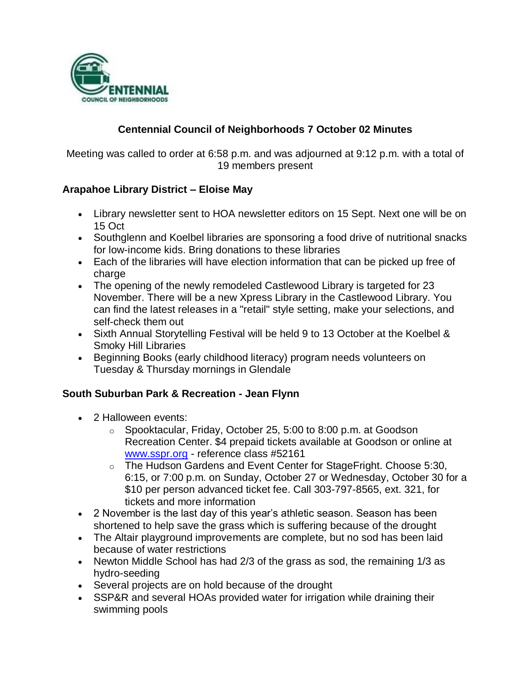

## **Centennial Council of Neighborhoods 7 October 02 Minutes**

Meeting was called to order at 6:58 p.m. and was adjourned at 9:12 p.m. with a total of 19 members present

#### **Arapahoe Library District – Eloise May**

- Library newsletter sent to HOA newsletter editors on 15 Sept. Next one will be on 15 Oct
- Southglenn and Koelbel libraries are sponsoring a food drive of nutritional snacks for low-income kids. Bring donations to these libraries
- Each of the libraries will have election information that can be picked up free of charge
- The opening of the newly remodeled Castlewood Library is targeted for 23 November. There will be a new Xpress Library in the Castlewood Library. You can find the latest releases in a "retail" style setting, make your selections, and self-check them out
- Sixth Annual Storytelling Festival will be held 9 to 13 October at the Koelbel & Smoky Hill Libraries
- Beginning Books (early childhood literacy) program needs volunteers on Tuesday & Thursday mornings in Glendale

#### **South Suburban Park & Recreation - Jean Flynn**

- 2 Halloween events:
	- o Spooktacular, Friday, October 25, 5:00 to 8:00 p.m. at Goodson Recreation Center. \$4 prepaid tickets available at Goodson or online at [www.sspr.org](http://www.sspr.org/) - reference class #52161
	- o The Hudson Gardens and Event Center for StageFright. Choose 5:30, 6:15, or 7:00 p.m. on Sunday, October 27 or Wednesday, October 30 for a \$10 per person advanced ticket fee. Call 303-797-8565, ext. 321, for tickets and more information
- 2 November is the last day of this year's athletic season. Season has been shortened to help save the grass which is suffering because of the drought
- The Altair playground improvements are complete, but no sod has been laid because of water restrictions
- Newton Middle School has had 2/3 of the grass as sod, the remaining 1/3 as hydro-seeding
- Several projects are on hold because of the drought
- SSP&R and several HOAs provided water for irrigation while draining their swimming pools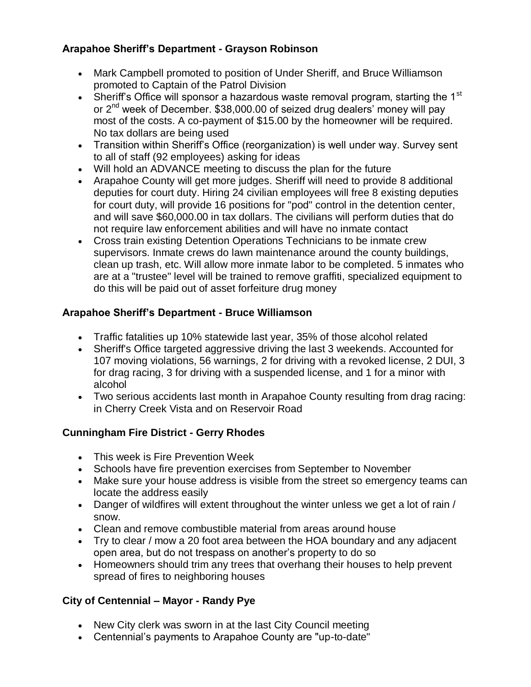## **Arapahoe Sheriff's Department - Grayson Robinson**

- Mark Campbell promoted to position of Under Sheriff, and Bruce Williamson promoted to Captain of the Patrol Division
- Sheriff's Office will sponsor a hazardous waste removal program, starting the  $1<sup>st</sup>$ or 2nd week of December. \$38,000.00 of seized drug dealers' money will pay most of the costs. A co-payment of \$15.00 by the homeowner will be required. No tax dollars are being used
- Transition within Sheriff's Office (reorganization) is well under way. Survey sent to all of staff (92 employees) asking for ideas
- Will hold an ADVANCE meeting to discuss the plan for the future
- Arapahoe County will get more judges. Sheriff will need to provide 8 additional deputies for court duty. Hiring 24 civilian employees will free 8 existing deputies for court duty, will provide 16 positions for "pod" control in the detention center, and will save \$60,000.00 in tax dollars. The civilians will perform duties that do not require law enforcement abilities and will have no inmate contact
- Cross train existing Detention Operations Technicians to be inmate crew supervisors. Inmate crews do lawn maintenance around the county buildings, clean up trash, etc. Will allow more inmate labor to be completed. 5 inmates who are at a "trustee" level will be trained to remove graffiti, specialized equipment to do this will be paid out of asset forfeiture drug money

### **Arapahoe Sheriff's Department - Bruce Williamson**

- Traffic fatalities up 10% statewide last year, 35% of those alcohol related
- Sheriff's Office targeted aggressive driving the last 3 weekends. Accounted for 107 moving violations, 56 warnings, 2 for driving with a revoked license, 2 DUI, 3 for drag racing, 3 for driving with a suspended license, and 1 for a minor with alcohol
- Two serious accidents last month in Arapahoe County resulting from drag racing: in Cherry Creek Vista and on Reservoir Road

### **Cunningham Fire District - Gerry Rhodes**

- This week is Fire Prevention Week
- Schools have fire prevention exercises from September to November
- Make sure your house address is visible from the street so emergency teams can locate the address easily
- Danger of wildfires will extent throughout the winter unless we get a lot of rain / snow.
- Clean and remove combustible material from areas around house
- Try to clear / mow a 20 foot area between the HOA boundary and any adjacent open area, but do not trespass on another's property to do so
- Homeowners should trim any trees that overhang their houses to help prevent spread of fires to neighboring houses

# **City of Centennial – Mayor - Randy Pye**

- New City clerk was sworn in at the last City Council meeting
- Centennial's payments to Arapahoe County are "up-to-date"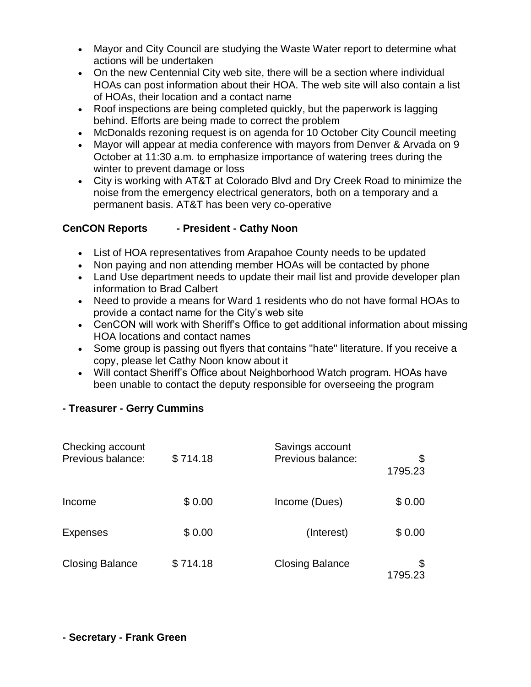- Mayor and City Council are studying the Waste Water report to determine what actions will be undertaken
- On the new Centennial City web site, there will be a section where individual HOAs can post information about their HOA. The web site will also contain a list of HOAs, their location and a contact name
- Roof inspections are being completed quickly, but the paperwork is lagging behind. Efforts are being made to correct the problem
- McDonalds rezoning request is on agenda for 10 October City Council meeting
- Mayor will appear at media conference with mayors from Denver & Arvada on 9 October at 11:30 a.m. to emphasize importance of watering trees during the winter to prevent damage or loss
- City is working with AT&T at Colorado Blvd and Dry Creek Road to minimize the noise from the emergency electrical generators, both on a temporary and a permanent basis. AT&T has been very co-operative

# **CenCON Reports - President - Cathy Noon**

- List of HOA representatives from Arapahoe County needs to be updated
- Non paying and non attending member HOAs will be contacted by phone
- Land Use department needs to update their mail list and provide developer plan information to Brad Calbert
- Need to provide a means for Ward 1 residents who do not have formal HOAs to provide a contact name for the City's web site
- CenCON will work with Sheriff's Office to get additional information about missing HOA locations and contact names
- Some group is passing out flyers that contains "hate" literature. If you receive a copy, please let Cathy Noon know about it
- Will contact Sheriff's Office about Neighborhood Watch program. HOAs have been unable to contact the deputy responsible for overseeing the program

### **- Treasurer - Gerry Cummins**

| Checking account<br>Previous balance: | \$714.18 | Savings account<br>Previous balance: | \$<br>1795.23 |
|---------------------------------------|----------|--------------------------------------|---------------|
| Income                                | \$0.00   | Income (Dues)                        | \$0.00        |
| <b>Expenses</b>                       | \$0.00   | (Interest)                           | \$0.00        |
| <b>Closing Balance</b>                | \$714.18 | <b>Closing Balance</b>               | \$<br>1795.23 |